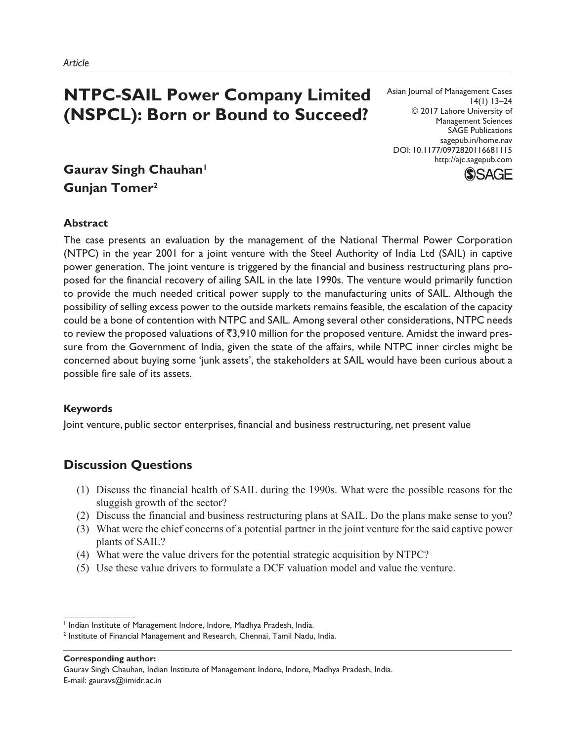# **NTPC-SAIL Power Company Limited (NSPCL): Born or Bound to Succeed?**

Asian Journal of Management Cases 14(1) 13–24 © 2017 Lahore University of Management Sciences SAGE Publications sagepub.in/home.nav DOI: 10.1177/0972820116681115 http://ajc.sagepub.com



## **Gaurav Singh Chauhan<sup>1</sup> Gunjan Tomer<sup>2</sup>**

## **Abstract**

The case presents an evaluation by the management of the National Thermal Power Corporation (NTPC) in the year 2001 for a joint venture with the Steel Authority of India Ltd (SAIL) in captive power generation. The joint venture is triggered by the financial and business restructuring plans proposed for the financial recovery of ailing SAIL in the late 1990s. The venture would primarily function to provide the much needed critical power supply to the manufacturing units of SAIL. Although the possibility of selling excess power to the outside markets remains feasible, the escalation of the capacity could be a bone of contention with NTPC and SAIL. Among several other considerations, NTPC needs to review the proposed valuations of  $\bar{z}3,910$  million for the proposed venture. Amidst the inward pressure from the Government of India, given the state of the affairs, while NTPC inner circles might be concerned about buying some 'junk assets', the stakeholders at SAIL would have been curious about a possible fire sale of its assets.

## **Keywords**

Joint venture, public sector enterprises, financial and business restructuring, net present value

## **Discussion Questions**

- (1) Discuss the financial health of SAIL during the 1990s. What were the possible reasons for the sluggish growth of the sector?
- (2) Discuss the financial and business restructuring plans at SAIL. Do the plans make sense to you?
- (3) What were the chief concerns of a potential partner in the joint venture for the said captive power plants of SAIL?
- (4) What were the value drivers for the potential strategic acquisition by NTPC?
- (5) Use these value drivers to formulate a DCF valuation model and value the venture.

<sup>1</sup> Indian Institute of Management Indore, Indore, Madhya Pradesh, India.

<sup>2</sup> Institute of Financial Management and Research, Chennai, Tamil Nadu, India.

Gaurav Singh Chauhan, Indian Institute of Management Indore, Indore, Madhya Pradesh, India. E-mail: gauravs@iimidr.ac.in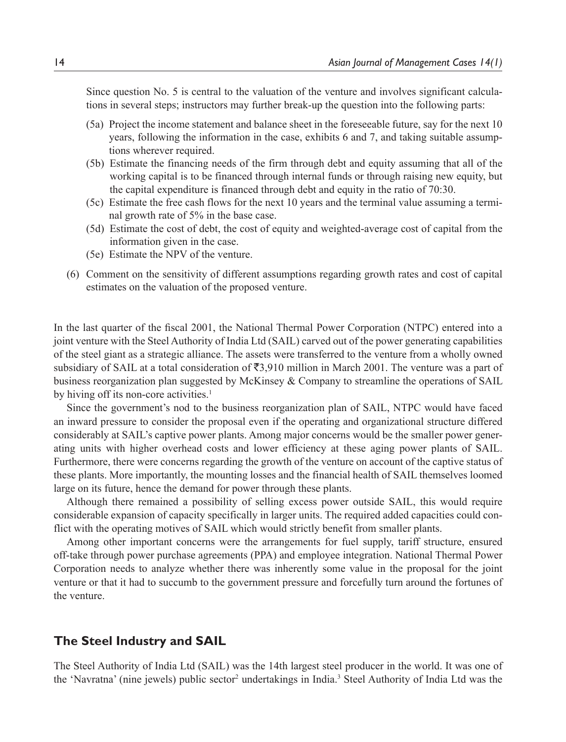Since question No. 5 is central to the valuation of the venture and involves significant calculations in several steps; instructors may further break-up the question into the following parts:

- (5a) Project the income statement and balance sheet in the foreseeable future, say for the next 10 years, following the information in the case, exhibits 6 and 7, and taking suitable assumptions wherever required.
- (5b) Estimate the financing needs of the firm through debt and equity assuming that all of the working capital is to be financed through internal funds or through raising new equity, but the capital expenditure is financed through debt and equity in the ratio of 70:30.
- (5c) Estimate the free cash flows for the next 10 years and the terminal value assuming a terminal growth rate of 5% in the base case.
- (5d) Estimate the cost of debt, the cost of equity and weighted-average cost of capital from the information given in the case.
- (5e) Estimate the NPV of the venture.
- (6) Comment on the sensitivity of different assumptions regarding growth rates and cost of capital estimates on the valuation of the proposed venture.

In the last quarter of the fiscal 2001, the National Thermal Power Corporation (NTPC) entered into a joint venture with the Steel Authority of India Ltd (SAIL) carved out of the power generating capabilities of the steel giant as a strategic alliance. The assets were transferred to the venture from a wholly owned subsidiary of SAIL at a total consideration of  $\overline{53.910}$  million in March 2001. The venture was a part of business reorganization plan suggested by McKinsey & Company to streamline the operations of SAIL by hiving off its non-core activities.<sup>1</sup>

Since the government's nod to the business reorganization plan of SAIL, NTPC would have faced an inward pressure to consider the proposal even if the operating and organizational structure differed considerably at SAIL's captive power plants. Among major concerns would be the smaller power generating units with higher overhead costs and lower efficiency at these aging power plants of SAIL. Furthermore, there were concerns regarding the growth of the venture on account of the captive status of these plants. More importantly, the mounting losses and the financial health of SAIL themselves loomed large on its future, hence the demand for power through these plants.

Although there remained a possibility of selling excess power outside SAIL, this would require considerable expansion of capacity specifically in larger units. The required added capacities could conflict with the operating motives of SAIL which would strictly benefit from smaller plants.

Among other important concerns were the arrangements for fuel supply, tariff structure, ensured off-take through power purchase agreements (PPA) and employee integration. National Thermal Power Corporation needs to analyze whether there was inherently some value in the proposal for the joint venture or that it had to succumb to the government pressure and forcefully turn around the fortunes of the venture.

## **The Steel Industry and SAIL**

The Steel Authority of India Ltd (SAIL) was the 14th largest steel producer in the world. It was one of the 'Navratna' (nine jewels) public sector<sup>2</sup> undertakings in India.<sup>3</sup> Steel Authority of India Ltd was the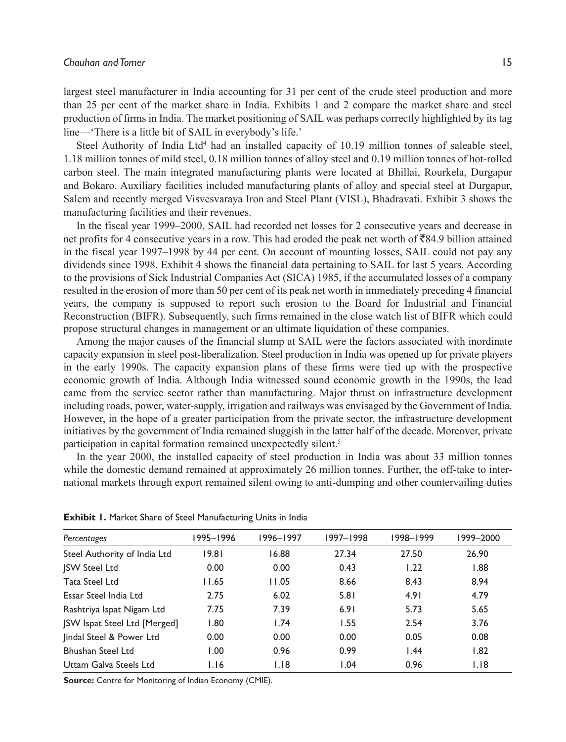largest steel manufacturer in India accounting for 31 per cent of the crude steel production and more than 25 per cent of the market share in India. Exhibits 1 and 2 compare the market share and steel production of firms in India. The market positioning of SAIL was perhaps correctly highlighted by its tag line—'There is a little bit of SAIL in everybody's life.'

Steel Authority of India Ltd<sup>4</sup> had an installed capacity of 10.19 million tonnes of saleable steel, 1.18 million tonnes of mild steel, 0.18 million tonnes of alloy steel and 0.19 million tonnes of hot-rolled carbon steel. The main integrated manufacturing plants were located at Bhillai, Rourkela, Durgapur and Bokaro. Auxiliary facilities included manufacturing plants of alloy and special steel at Durgapur, Salem and recently merged Visvesvaraya Iron and Steel Plant (VISL), Bhadravati. Exhibit 3 shows the manufacturing facilities and their revenues.

In the fiscal year 1999–2000, SAIL had recorded net losses for 2 consecutive years and decrease in net profits for 4 consecutive years in a row. This had eroded the peak net worth of  $\bar{\mathcal{R}}84.9$  billion attained in the fiscal year 1997–1998 by 44 per cent. On account of mounting losses, SAIL could not pay any dividends since 1998. Exhibit 4 shows the financial data pertaining to SAIL for last 5 years. According to the provisions of Sick Industrial Companies Act (SICA) 1985, if the accumulated losses of a company resulted in the erosion of more than 50 per cent of its peak net worth in immediately preceding 4 financial years, the company is supposed to report such erosion to the Board for Industrial and Financial Reconstruction (BIFR). Subsequently, such firms remained in the close watch list of BIFR which could propose structural changes in management or an ultimate liquidation of these companies.

Among the major causes of the financial slump at SAIL were the factors associated with inordinate capacity expansion in steel post-liberalization. Steel production in India was opened up for private players in the early 1990s. The capacity expansion plans of these firms were tied up with the prospective economic growth of India. Although India witnessed sound economic growth in the 1990s, the lead came from the service sector rather than manufacturing. Major thrust on infrastructure development including roads, power, water-supply, irrigation and railways was envisaged by the Government of India. However, in the hope of a greater participation from the private sector, the infrastructure development initiatives by the government of India remained sluggish in the latter half of the decade. Moreover, private participation in capital formation remained unexpectedly silent.<sup>5</sup>

In the year 2000, the installed capacity of steel production in India was about 33 million tonnes while the domestic demand remained at approximately 26 million tonnes. Further, the off-take to international markets through export remained silent owing to anti-dumping and other countervailing duties

| Percentages                         | 1995–1996 | 1996-1997 | 1997-1998 | 1998-1999 | 1999-2000 |
|-------------------------------------|-----------|-----------|-----------|-----------|-----------|
| Steel Authority of India Ltd        | 19.81     | 16.88     | 27.34     | 27.50     | 26.90     |
| <b>JSW Steel Ltd</b>                | 0.00      | 0.00      | 0.43      | 1.22      | 1.88      |
| Tata Steel Ltd                      | 11.65     | 11.05     | 8.66      | 8.43      | 8.94      |
| Essar Steel India Ltd               | 2.75      | 6.02      | 5.81      | 4.91      | 4.79      |
| Rashtriya Ispat Nigam Ltd           | 7.75      | 7.39      | 6.91      | 5.73      | 5.65      |
| <b>ISW Ispat Steel Ltd [Merged]</b> | 1.80      | 1.74      | 1.55      | 2.54      | 3.76      |
| lindal Steel & Power Ltd            | 0.00      | 0.00      | 0.00      | 0.05      | 0.08      |
| <b>Bhushan Steel Ltd</b>            | 0.00      | 0.96      | 0.99      | 1.44      | 1.82      |
| Uttam Galva Steels Ltd              | 1.16      | 1.18      | 1.04      | 0.96      | 1.18      |

**Exhibit 1.** Market Share of Steel Manufacturing Units in India

**Source:** Centre for Monitoring of Indian Economy (CMIE).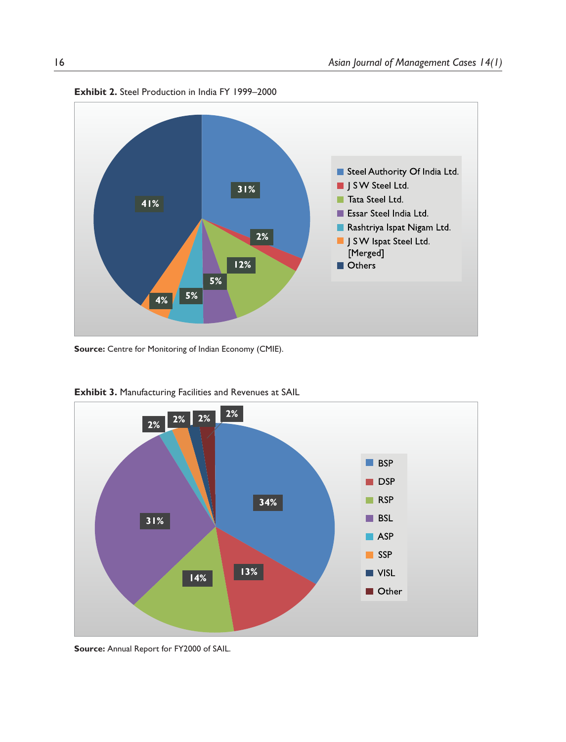

**Exhibit 2.** Steel Production in India FY 1999–2000

**Source:** Centre for Monitoring of Indian Economy (CMIE).



**Exhibit 3.** Manufacturing Facilities and Revenues at SAIL

**Source:** Annual Report for FY2000 of SAIL.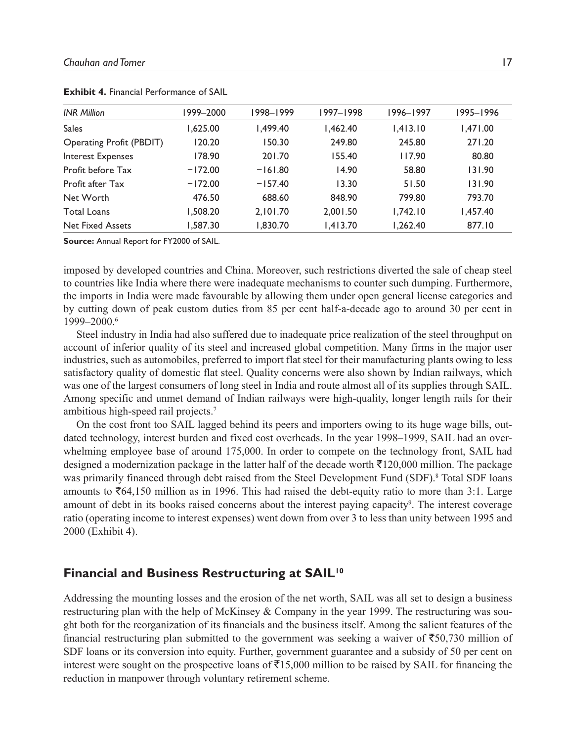| <b>INR Million</b>       | 1999–2000 | 1998–1999 | 1997-1998 | 1996-1997 | 1995–1996 |
|--------------------------|-----------|-----------|-----------|-----------|-----------|
| <b>Sales</b>             | 1.625.00  | 1.499.40  | 1.462.40  | 1.413.10  | 1.471.00  |
| Operating Profit (PBDIT) | 120.20    | 150.30    | 249.80    | 245.80    | 271.20    |
| Interest Expenses        | 178.90    | 201.70    | 155.40    | 117.90    | 80.80     |
| Profit before Tax        | $-172.00$ | $-161.80$ | 14.90     | 58.80     | 131.90    |
| Profit after Tax         | $-172.00$ | $-157.40$ | 13.30     | 51.50     | 131.90    |
| Net Worth                | 476.50    | 688.60    | 848.90    | 799.80    | 793.70    |
| <b>Total Loans</b>       | 1.508.20  | 2.101.70  | 2.001.50  | 1.742.10  | 1.457.40  |
| <b>Net Fixed Assets</b>  | 1.587.30  | 1.830.70  | 1,413.70  | 1.262.40  | 877.10    |

**Exhibit 4. Financial Performance of SAIL** 

**Source:** Annual Report for FY2000 of SAIL.

imposed by developed countries and China. Moreover, such restrictions diverted the sale of cheap steel to countries like India where there were inadequate mechanisms to counter such dumping. Furthermore, the imports in India were made favourable by allowing them under open general license categories and by cutting down of peak custom duties from 85 per cent half-a-decade ago to around 30 per cent in 1999–2000.<sup>6</sup>

Steel industry in India had also suffered due to inadequate price realization of the steel throughput on account of inferior quality of its steel and increased global competition. Many firms in the major user industries, such as automobiles, preferred to import flat steel for their manufacturing plants owing to less satisfactory quality of domestic flat steel. Quality concerns were also shown by Indian railways, which was one of the largest consumers of long steel in India and route almost all of its supplies through SAIL. Among specific and unmet demand of Indian railways were high-quality, longer length rails for their ambitious high-speed rail projects.<sup>7</sup>

On the cost front too SAIL lagged behind its peers and importers owing to its huge wage bills, outdated technology, interest burden and fixed cost overheads. In the year 1998–1999, SAIL had an overwhelming employee base of around 175,000. In order to compete on the technology front, SAIL had designed a modernization package in the latter half of the decade worth  $\bar{\tau}$ 120,000 million. The package was primarily financed through debt raised from the Steel Development Fund (SDF).<sup>8</sup> Total SDF loans amounts to  $\bar{e}64,150$  million as in 1996. This had raised the debt-equity ratio to more than 3:1. Large amount of debt in its books raised concerns about the interest paying capacity<sup>9</sup>. The interest coverage ratio (operating income to interest expenses) went down from over 3 to less than unity between 1995 and 2000 (Exhibit 4).

### **Financial and Business Restructuring at SAIL<sup>10</sup>**

Addressing the mounting losses and the erosion of the net worth, SAIL was all set to design a business restructuring plan with the help of McKinsey & Company in the year 1999. The restructuring was sought both for the reorganization of its financials and the business itself. Among the salient features of the financial restructuring plan submitted to the government was seeking a waiver of  $\overline{5}50,730$  million of SDF loans or its conversion into equity. Further, government guarantee and a subsidy of 50 per cent on interest were sought on the prospective loans of  $\overline{515,000}$  million to be raised by SAIL for financing the reduction in manpower through voluntary retirement scheme.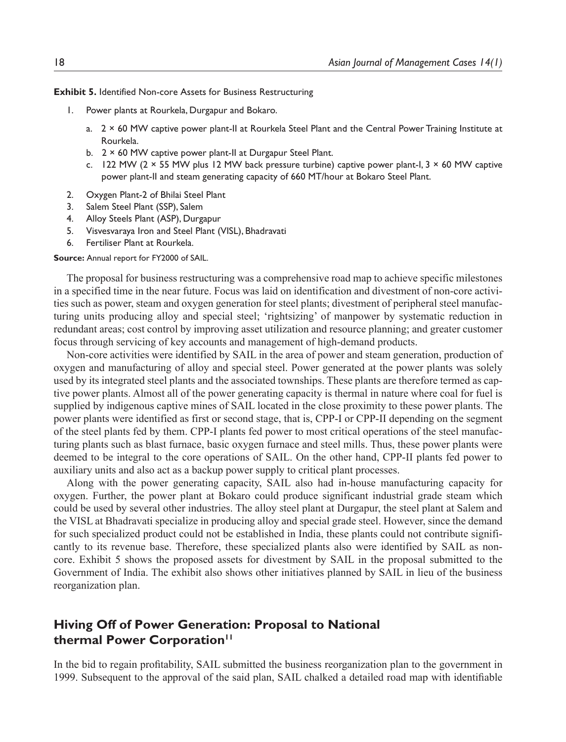**Exhibit 5.** Identified Non-core Assets for Business Restructuring

- 1. Power plants at Rourkela, Durgapur and Bokaro.
	- a. 2 × 60 MW captive power plant-II at Rourkela Steel Plant and the Central Power Training Institute at Rourkela.
	- b. 2 × 60 MW captive power plant-II at Durgapur Steel Plant.
	- c. 122 MW ( $2 \times 55$  MW plus 12 MW back pressure turbine) captive power plant-I,  $3 \times 60$  MW captive power plant-II and steam generating capacity of 660 MT/hour at Bokaro Steel Plant.
- 2. Oxygen Plant-2 of Bhilai Steel Plant
- 3. Salem Steel Plant (SSP), Salem
- 4. Alloy Steels Plant (ASP), Durgapur
- 5. Visvesvaraya Iron and Steel Plant (VISL), Bhadravati
- 6. Fertiliser Plant at Rourkela.

#### **Source:** Annual report for FY2000 of SAIL.

The proposal for business restructuring was a comprehensive road map to achieve specific milestones in a specified time in the near future. Focus was laid on identification and divestment of non-core activities such as power, steam and oxygen generation for steel plants; divestment of peripheral steel manufacturing units producing alloy and special steel; 'rightsizing' of manpower by systematic reduction in redundant areas; cost control by improving asset utilization and resource planning; and greater customer focus through servicing of key accounts and management of high-demand products.

Non-core activities were identified by SAIL in the area of power and steam generation, production of oxygen and manufacturing of alloy and special steel. Power generated at the power plants was solely used by its integrated steel plants and the associated townships. These plants are therefore termed as captive power plants. Almost all of the power generating capacity is thermal in nature where coal for fuel is supplied by indigenous captive mines of SAIL located in the close proximity to these power plants. The power plants were identified as first or second stage, that is, CPP-I or CPP-II depending on the segment of the steel plants fed by them. CPP-I plants fed power to most critical operations of the steel manufacturing plants such as blast furnace, basic oxygen furnace and steel mills. Thus, these power plants were deemed to be integral to the core operations of SAIL. On the other hand, CPP-II plants fed power to auxiliary units and also act as a backup power supply to critical plant processes.

Along with the power generating capacity, SAIL also had in-house manufacturing capacity for oxygen. Further, the power plant at Bokaro could produce significant industrial grade steam which could be used by several other industries. The alloy steel plant at Durgapur, the steel plant at Salem and the VISL at Bhadravati specialize in producing alloy and special grade steel. However, since the demand for such specialized product could not be established in India, these plants could not contribute significantly to its revenue base. Therefore, these specialized plants also were identified by SAIL as noncore. Exhibit 5 shows the proposed assets for divestment by SAIL in the proposal submitted to the Government of India. The exhibit also shows other initiatives planned by SAIL in lieu of the business reorganization plan.

## **Hiving Off of Power Generation: Proposal to National thermal Power Corporation<sup>11</sup>**

In the bid to regain profitability, SAIL submitted the business reorganization plan to the government in 1999. Subsequent to the approval of the said plan, SAIL chalked a detailed road map with identifiable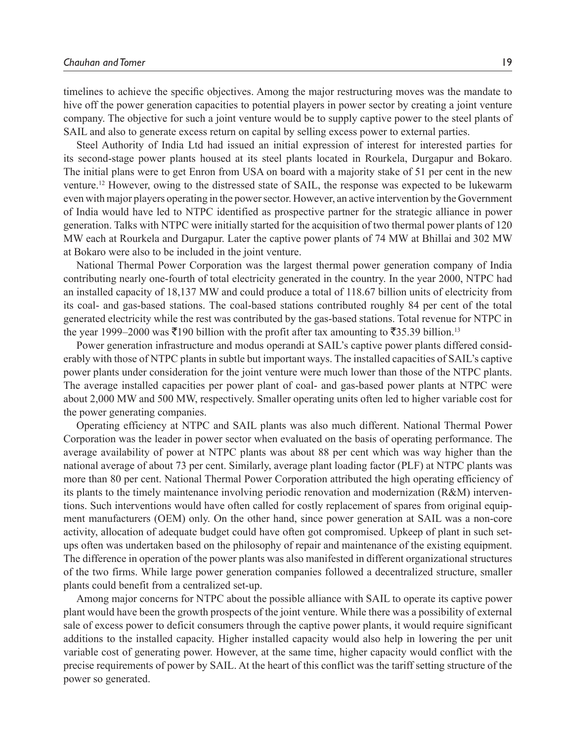timelines to achieve the specific objectives. Among the major restructuring moves was the mandate to hive off the power generation capacities to potential players in power sector by creating a joint venture company. The objective for such a joint venture would be to supply captive power to the steel plants of SAIL and also to generate excess return on capital by selling excess power to external parties.

Steel Authority of India Ltd had issued an initial expression of interest for interested parties for its second-stage power plants housed at its steel plants located in Rourkela, Durgapur and Bokaro. The initial plans were to get Enron from USA on board with a majority stake of 51 per cent in the new venture.<sup>12</sup> However, owing to the distressed state of SAIL, the response was expected to be lukewarm even with major players operating in the power sector. However, an active intervention by the Government of India would have led to NTPC identified as prospective partner for the strategic alliance in power generation. Talks with NTPC were initially started for the acquisition of two thermal power plants of 120 MW each at Rourkela and Durgapur. Later the captive power plants of 74 MW at Bhillai and 302 MW at Bokaro were also to be included in the joint venture.

National Thermal Power Corporation was the largest thermal power generation company of India contributing nearly one-fourth of total electricity generated in the country. In the year 2000, NTPC had an installed capacity of 18,137 MW and could produce a total of 118.67 billion units of electricity from its coal- and gas-based stations. The coal-based stations contributed roughly 84 per cent of the total generated electricity while the rest was contributed by the gas-based stations. Total revenue for NTPC in the year 1999–2000 was  $\overline{\mathfrak{e}}$ 190 billion with the profit after tax amounting to  $\overline{\mathfrak{e}}$ 35.39 billion.<sup>13</sup>

Power generation infrastructure and modus operandi at SAIL's captive power plants differed considerably with those of NTPC plants in subtle but important ways. The installed capacities of SAIL's captive power plants under consideration for the joint venture were much lower than those of the NTPC plants. The average installed capacities per power plant of coal- and gas-based power plants at NTPC were about 2,000 MW and 500 MW, respectively. Smaller operating units often led to higher variable cost for the power generating companies.

Operating efficiency at NTPC and SAIL plants was also much different. National Thermal Power Corporation was the leader in power sector when evaluated on the basis of operating performance. The average availability of power at NTPC plants was about 88 per cent which was way higher than the national average of about 73 per cent. Similarly, average plant loading factor (PLF) at NTPC plants was more than 80 per cent. National Thermal Power Corporation attributed the high operating efficiency of its plants to the timely maintenance involving periodic renovation and modernization (R&M) interventions. Such interventions would have often called for costly replacement of spares from original equipment manufacturers (OEM) only. On the other hand, since power generation at SAIL was a non-core activity, allocation of adequate budget could have often got compromised. Upkeep of plant in such setups often was undertaken based on the philosophy of repair and maintenance of the existing equipment. The difference in operation of the power plants was also manifested in different organizational structures of the two firms. While large power generation companies followed a decentralized structure, smaller plants could benefit from a centralized set-up.

Among major concerns for NTPC about the possible alliance with SAIL to operate its captive power plant would have been the growth prospects of the joint venture. While there was a possibility of external sale of excess power to deficit consumers through the captive power plants, it would require significant additions to the installed capacity. Higher installed capacity would also help in lowering the per unit variable cost of generating power. However, at the same time, higher capacity would conflict with the precise requirements of power by SAIL. At the heart of this conflict was the tariff setting structure of the power so generated.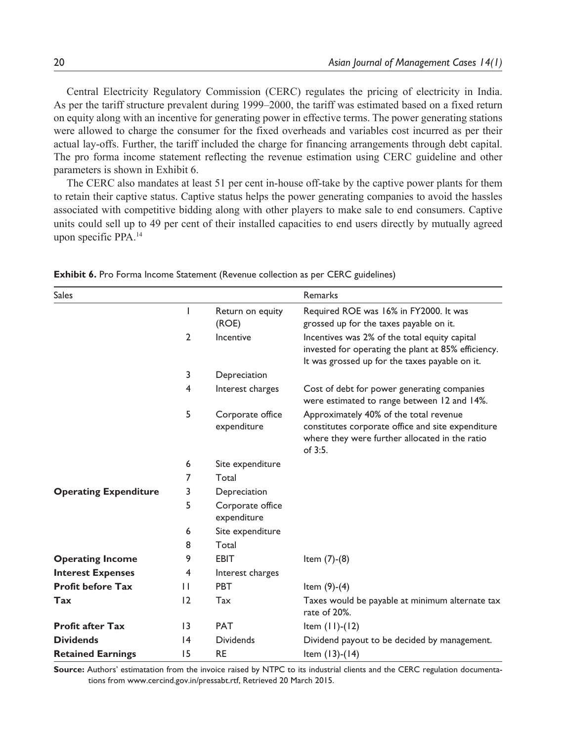Central Electricity Regulatory Commission (CERC) regulates the pricing of electricity in India. As per the tariff structure prevalent during 1999–2000, the tariff was estimated based on a fixed return on equity along with an incentive for generating power in effective terms. The power generating stations were allowed to charge the consumer for the fixed overheads and variables cost incurred as per their actual lay-offs. Further, the tariff included the charge for financing arrangements through debt capital. The pro forma income statement reflecting the revenue estimation using CERC guideline and other parameters is shown in Exhibit 6.

The CERC also mandates at least 51 per cent in-house off-take by the captive power plants for them to retain their captive status. Captive status helps the power generating companies to avoid the hassles associated with competitive bidding along with other players to make sale to end consumers. Captive units could sell up to 49 per cent of their installed capacities to end users directly by mutually agreed upon specific PPA.<sup>14</sup>

| <b>Sales</b>                 |                 |                                 | Remarks                                                                                                                                                     |
|------------------------------|-----------------|---------------------------------|-------------------------------------------------------------------------------------------------------------------------------------------------------------|
|                              | I               | Return on equity<br>(ROE)       | Required ROE was 16% in FY2000. It was<br>grossed up for the taxes payable on it.                                                                           |
|                              | $\overline{2}$  | Incentive                       | Incentives was 2% of the total equity capital<br>invested for operating the plant at 85% efficiency.<br>It was grossed up for the taxes payable on it.      |
|                              | 3               | Depreciation                    |                                                                                                                                                             |
|                              | 4               | Interest charges                | Cost of debt for power generating companies<br>were estimated to range between 12 and 14%.                                                                  |
|                              | 5               | Corporate office<br>expenditure | Approximately 40% of the total revenue<br>constitutes corporate office and site expenditure<br>where they were further allocated in the ratio<br>of $3:5$ . |
|                              | 6               | Site expenditure                |                                                                                                                                                             |
|                              | 7               | Total                           |                                                                                                                                                             |
| <b>Operating Expenditure</b> | 3               | Depreciation                    |                                                                                                                                                             |
|                              | 5               | Corporate office<br>expenditure |                                                                                                                                                             |
|                              | 6               | Site expenditure                |                                                                                                                                                             |
|                              | 8               | Total                           |                                                                                                                                                             |
| <b>Operating Income</b>      | 9               | <b>EBIT</b>                     | Item $(7)-(8)$                                                                                                                                              |
| <b>Interest Expenses</b>     | 4               | Interest charges                |                                                                                                                                                             |
| <b>Profit before Tax</b>     | $\mathbf{H}$    | <b>PBT</b>                      | Item $(9)-(4)$                                                                                                                                              |
| Tax                          | 12              | Tax                             | Taxes would be payable at minimum alternate tax<br>rate of 20%.                                                                                             |
| <b>Profit after Tax</b>      | $\overline{13}$ | <b>PAT</b>                      | Item $(11)-(12)$                                                                                                                                            |
| <b>Dividends</b>             | 4               | <b>Dividends</b>                | Dividend payout to be decided by management.                                                                                                                |
| <b>Retained Earnings</b>     | 15              | <b>RE</b>                       | Item $(13)-(14)$                                                                                                                                            |

**Exhibit 6.** Pro Forma Income Statement (Revenue collection as per CERC guidelines)

**Source:** Authors' estimatation from the invoice raised by NTPC to its industrial clients and the CERC regulation documentations from www.cercind.gov.in/pressabt.rtf, Retrieved 20 March 2015.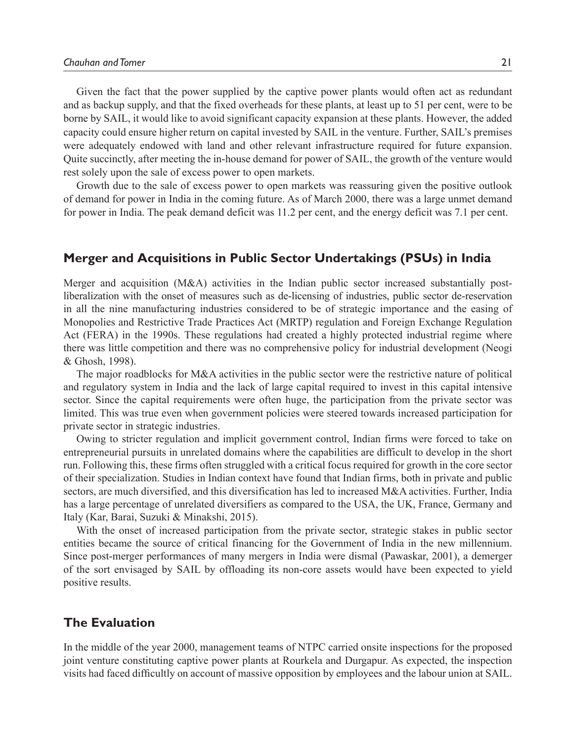Given the fact that the power supplied by the captive power plants would often act as redundant and as backup supply, and that the fixed overheads for these plants, at least up to 51 per cent, were to be borne by SAIL, it would like to avoid significant capacity expansion at these plants. However, the added capacity could ensure higher return on capital invested by SAIL in the venture. Further, SAIL's premises were adequately endowed with land and other relevant infrastructure required for future expansion. Quite succinctly, after meeting the in-house demand for power of SAIL, the growth of the venture would rest solely upon the sale of excess power to open markets.

Growth due to the sale of excess power to open markets was reassuring given the positive outlook of demand for power in India in the coming future. As of March 2000, there was a large unmet demand for power in India. The peak demand deficit was 11.2 per cent, and the energy deficit was 7.1 per cent.

## **Merger and Acquisitions in Public Sector Undertakings (PSUs) in India**

Merger and acquisition (M&A) activities in the Indian public sector increased substantially postliberalization with the onset of measures such as de-licensing of industries, public sector de-reservation in all the nine manufacturing industries considered to be of strategic importance and the easing of Monopolies and Restrictive Trade Practices Act (MRTP) regulation and Foreign Exchange Regulation Act (FERA) in the 1990s. These regulations had created a highly protected industrial regime where there was little competition and there was no comprehensive policy for industrial development (Neogi & Ghosh, 1998).

The major roadblocks for M&A activities in the public sector were the restrictive nature of political and regulatory system in India and the lack of large capital required to invest in this capital intensive sector. Since the capital requirements were often huge, the participation from the private sector was limited. This was true even when government policies were steered towards increased participation for private sector in strategic industries.

Owing to stricter regulation and implicit government control, Indian firms were forced to take on entrepreneurial pursuits in unrelated domains where the capabilities are difficult to develop in the short run. Following this, these firms often struggled with a critical focus required for growth in the core sector of their specialization. Studies in Indian context have found that Indian firms, both in private and public sectors, are much diversified, and this diversification has led to increased M&A activities. Further, India has a large percentage of unrelated diversifiers as compared to the USA, the UK, France, Germany and Italy (Kar, Barai, Suzuki & Minakshi, 2015).

With the onset of increased participation from the private sector, strategic stakes in public sector entities became the source of critical financing for the Government of India in the new millennium. Since post-merger performances of many mergers in India were dismal (Pawaskar, 2001), a demerger of the sort envisaged by SAIL by offloading its non-core assets would have been expected to yield positive results.

## **The Evaluation**

In the middle of the year 2000, management teams of NTPC carried onsite inspections for the proposed joint venture constituting captive power plants at Rourkela and Durgapur. As expected, the inspection visits had faced difficultly on account of massive opposition by employees and the labour union at SAIL.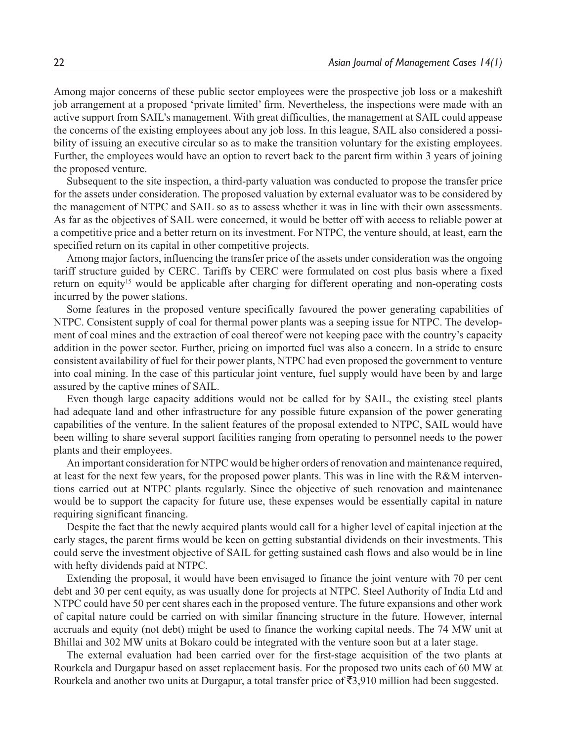Among major concerns of these public sector employees were the prospective job loss or a makeshift job arrangement at a proposed 'private limited' firm. Nevertheless, the inspections were made with an active support from SAIL's management. With great difficulties, the management at SAIL could appease the concerns of the existing employees about any job loss. In this league, SAIL also considered a possibility of issuing an executive circular so as to make the transition voluntary for the existing employees. Further, the employees would have an option to revert back to the parent firm within 3 years of joining the proposed venture.

Subsequent to the site inspection, a third-party valuation was conducted to propose the transfer price for the assets under consideration. The proposed valuation by external evaluator was to be considered by the management of NTPC and SAIL so as to assess whether it was in line with their own assessments. As far as the objectives of SAIL were concerned, it would be better off with access to reliable power at a competitive price and a better return on its investment. For NTPC, the venture should, at least, earn the specified return on its capital in other competitive projects.

Among major factors, influencing the transfer price of the assets under consideration was the ongoing tariff structure guided by CERC. Tariffs by CERC were formulated on cost plus basis where a fixed return on equity<sup>15</sup> would be applicable after charging for different operating and non-operating costs incurred by the power stations.

Some features in the proposed venture specifically favoured the power generating capabilities of NTPC. Consistent supply of coal for thermal power plants was a seeping issue for NTPC. The development of coal mines and the extraction of coal thereof were not keeping pace with the country's capacity addition in the power sector. Further, pricing on imported fuel was also a concern. In a stride to ensure consistent availability of fuel for their power plants, NTPC had even proposed the government to venture into coal mining. In the case of this particular joint venture, fuel supply would have been by and large assured by the captive mines of SAIL.

Even though large capacity additions would not be called for by SAIL, the existing steel plants had adequate land and other infrastructure for any possible future expansion of the power generating capabilities of the venture. In the salient features of the proposal extended to NTPC, SAIL would have been willing to share several support facilities ranging from operating to personnel needs to the power plants and their employees.

An important consideration for NTPC would be higher orders of renovation and maintenance required, at least for the next few years, for the proposed power plants. This was in line with the R&M interventions carried out at NTPC plants regularly. Since the objective of such renovation and maintenance would be to support the capacity for future use, these expenses would be essentially capital in nature requiring significant financing.

Despite the fact that the newly acquired plants would call for a higher level of capital injection at the early stages, the parent firms would be keen on getting substantial dividends on their investments. This could serve the investment objective of SAIL for getting sustained cash flows and also would be in line with hefty dividends paid at NTPC.

Extending the proposal, it would have been envisaged to finance the joint venture with 70 per cent debt and 30 per cent equity, as was usually done for projects at NTPC. Steel Authority of India Ltd and NTPC could have 50 per cent shares each in the proposed venture. The future expansions and other work of capital nature could be carried on with similar financing structure in the future. However, internal accruals and equity (not debt) might be used to finance the working capital needs. The 74 MW unit at Bhillai and 302 MW units at Bokaro could be integrated with the venture soon but at a later stage.

The external evaluation had been carried over for the first-stage acquisition of the two plants at Rourkela and Durgapur based on asset replacement basis. For the proposed two units each of 60 MW at Rourkela and another two units at Durgapur, a total transfer price of  $\bar{\mathfrak{S}}3,910$  million had been suggested.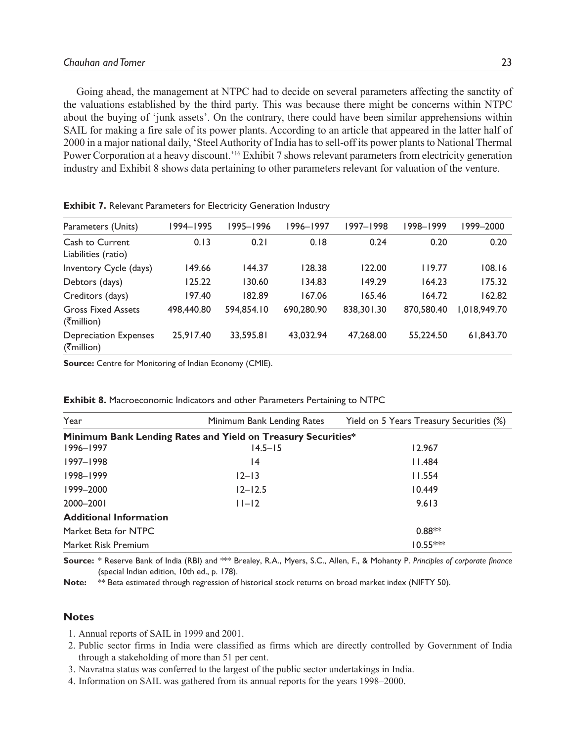Going ahead, the management at NTPC had to decide on several parameters affecting the sanctity of the valuations established by the third party. This was because there might be concerns within NTPC about the buying of 'junk assets'. On the contrary, there could have been similar apprehensions within SAIL for making a fire sale of its power plants. According to an article that appeared in the latter half of 2000 in a major national daily, 'Steel Authority of India has to sell-off its power plants to National Thermal Power Corporation at a heavy discount.<sup>'16</sup> Exhibit 7 shows relevant parameters from electricity generation industry and Exhibit 8 shows data pertaining to other parameters relevant for valuation of the venture.

| Parameters (Units)                                                   | 1994-1995  | 1995–1996  | 1996–1997  | 1997-1998  | 1998-1999  | 1999-2000    |
|----------------------------------------------------------------------|------------|------------|------------|------------|------------|--------------|
| Cash to Current<br>Liabilities (ratio)                               | 0.13       | 0.21       | 0.18       | 0.24       | 0.20       | 0.20         |
| Inventory Cycle (days)                                               | 149.66     | 144.37     | 128.38     | 122.00     | 119.77     | 108.16       |
| Debtors (days)                                                       | 125.22     | 130.60     | 134.83     | 149.29     | 164.23     | 175.32       |
| Creditors (days)                                                     | 197.40     | 182.89     | 167.06     | 165.46     | 164.72     | 162.82       |
| <b>Gross Fixed Assets</b><br>$($ ₹million)                           | 498,440.80 | 594.854.10 | 690,280.90 | 838,301.30 | 870,580.40 | 1,018,949.70 |
| <b>Depreciation Expenses</b><br>$( \overline{\mathfrak{F}}$ million) | 25.917.40  | 33.595.81  | 43.032.94  | 47,268.00  | 55,224.50  | 61,843.70    |

**Exhibit 7.** Relevant Parameters for Electricity Generation Industry

**Source:** Centre for Monitoring of Indian Economy (CMIE).

| Year                                                         | Minimum Bank Lending Rates | Yield on 5 Years Treasury Securities (%) |  |  |  |  |
|--------------------------------------------------------------|----------------------------|------------------------------------------|--|--|--|--|
| Minimum Bank Lending Rates and Yield on Treasury Securities* |                            |                                          |  |  |  |  |
| $1996 - 1997$                                                | $14.5 - 15$                | 12.967                                   |  |  |  |  |
| 1997-1998                                                    | 14                         | 11.484                                   |  |  |  |  |
| 1998-1999                                                    | $12 - 13$                  | 11.554                                   |  |  |  |  |
| 1999-2000                                                    | $12 - 12.5$                | 10.449                                   |  |  |  |  |
| 2000-2001                                                    | $ 1 - 2 $                  | 9.613                                    |  |  |  |  |
| <b>Additional Information</b>                                |                            |                                          |  |  |  |  |
| Market Beta for NTPC                                         |                            | $0.88**$                                 |  |  |  |  |
| Market Risk Premium                                          |                            | $10.55***$                               |  |  |  |  |

**Exhibit 8.** Macroeconomic Indicators and other Parameters Pertaining to NTPC

**Source:** \* Reserve Bank of India (RBI) and \*\*\* Brealey, R.A., Myers, S.C., Allen, F., & Mohanty P. *Principles of corporate finance* (special Indian edition, 10th ed., p. 178).

Note: \*\* Beta estimated through regression of historical stock returns on broad market index (NIFTY 50).

### **Notes**

- 1. Annual reports of SAIL in 1999 and 2001.
- 2. Public sector firms in India were classified as firms which are directly controlled by Government of India through a stakeholding of more than 51 per cent.
- 3. Navratna status was conferred to the largest of the public sector undertakings in India.
- 4. Information on SAIL was gathered from its annual reports for the years 1998–2000.